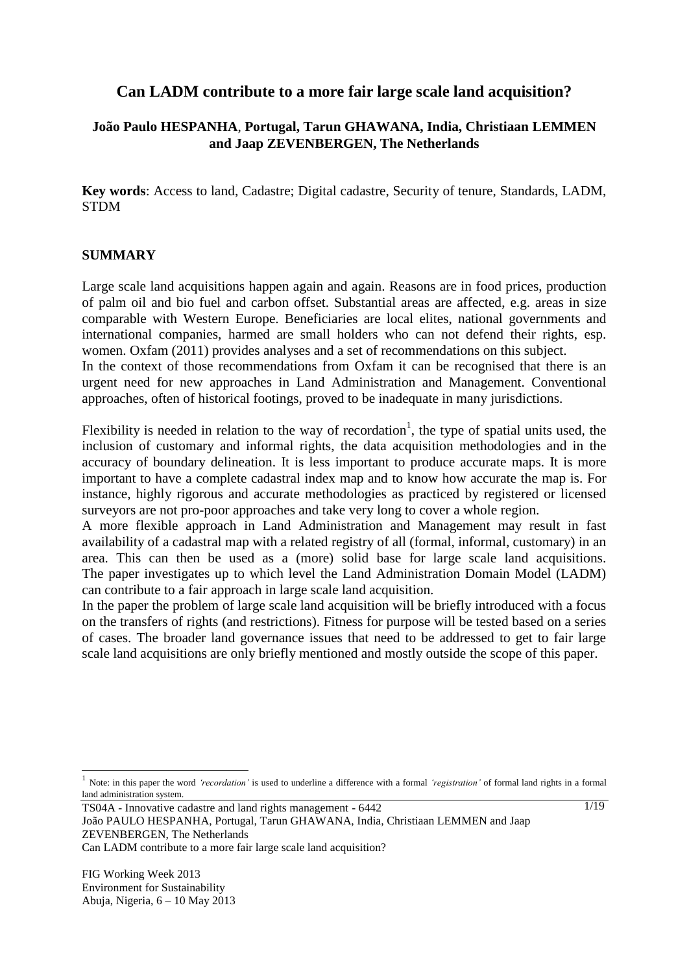# **Can LADM contribute to a more fair large scale land acquisition?**

## **João Paulo HESPANHA**, **Portugal, Tarun GHAWANA, India, Christiaan LEMMEN and Jaap ZEVENBERGEN, The Netherlands**

**Key words**: Access to land, Cadastre; Digital cadastre, Security of tenure, Standards, LADM, STDM

#### **SUMMARY**

Large scale land acquisitions happen again and again. Reasons are in food prices, production of palm oil and bio fuel and carbon offset. Substantial areas are affected, e.g. areas in size comparable with Western Europe. Beneficiaries are local elites, national governments and international companies, harmed are small holders who can not defend their rights, esp. women. Oxfam (2011) provides analyses and a set of recommendations on this subject.

In the context of those recommendations from Oxfam it can be recognised that there is an urgent need for new approaches in Land Administration and Management. Conventional approaches, often of historical footings, proved to be inadequate in many jurisdictions.

Flexibility is needed in relation to the way of recordation<sup>1</sup>, the type of spatial units used, the inclusion of customary and informal rights, the data acquisition methodologies and in the accuracy of boundary delineation. It is less important to produce accurate maps. It is more important to have a complete cadastral index map and to know how accurate the map is. For instance, highly rigorous and accurate methodologies as practiced by registered or licensed surveyors are not pro-poor approaches and take very long to cover a whole region.

A more flexible approach in Land Administration and Management may result in fast availability of a cadastral map with a related registry of all (formal, informal, customary) in an area. This can then be used as a (more) solid base for large scale land acquisitions. The paper investigates up to which level the Land Administration Domain Model (LADM) can contribute to a fair approach in large scale land acquisition.

In the paper the problem of large scale land acquisition will be briefly introduced with a focus on the transfers of rights (and restrictions). Fitness for purpose will be tested based on a series of cases. The broader land governance issues that need to be addressed to get to fair large scale land acquisitions are only briefly mentioned and mostly outside the scope of this paper.

 $\overline{a}$ 

<sup>1</sup> Note: in this paper the word *'recordation'* is used to underline a difference with a formal *'registration'* of formal land rights in a formal land administration system.

TS04A - Innovative cadastre and land rights management - 6442

João PAULO HESPANHA, Portugal, Tarun GHAWANA, India, Christiaan LEMMEN and Jaap ZEVENBERGEN, The Netherlands

Can LADM contribute to a more fair large scale land acquisition?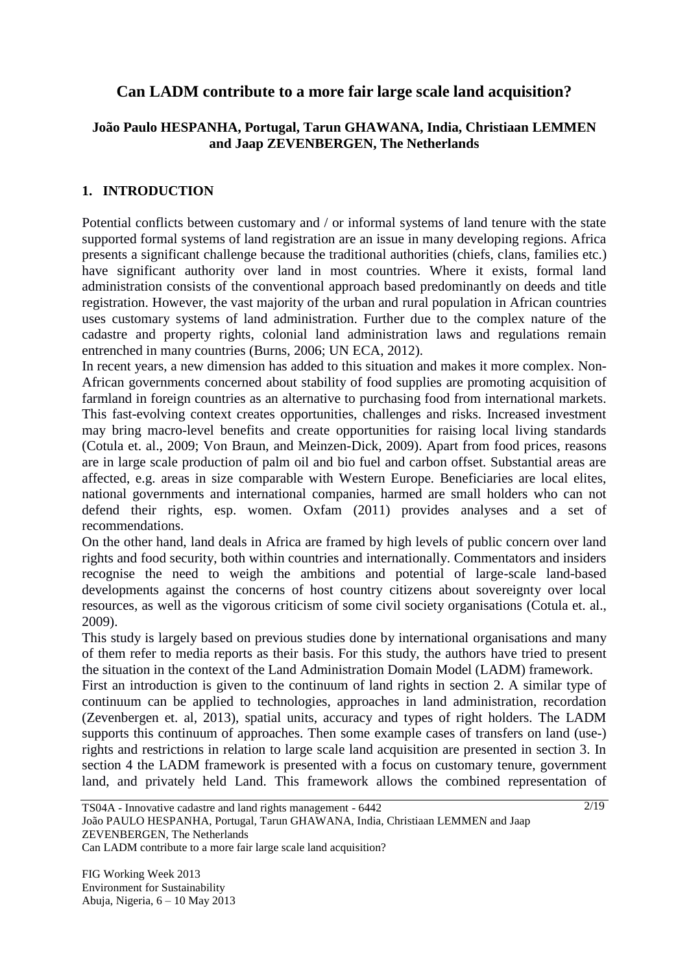# **Can LADM contribute to a more fair large scale land acquisition?**

## **João Paulo HESPANHA, Portugal, Tarun GHAWANA, India, Christiaan LEMMEN and Jaap ZEVENBERGEN, The Netherlands**

## **1. INTRODUCTION**

Potential conflicts between customary and / or informal systems of land tenure with the state supported formal systems of land registration are an issue in many developing regions. Africa presents a significant challenge because the traditional authorities (chiefs, clans, families etc.) have significant authority over land in most countries. Where it exists, formal land administration consists of the conventional approach based predominantly on deeds and title registration. However, the vast majority of the urban and rural population in African countries uses customary systems of land administration. Further due to the complex nature of the cadastre and property rights, colonial land administration laws and regulations remain entrenched in many countries (Burns, 2006; UN ECA, 2012).

In recent years, a new dimension has added to this situation and makes it more complex. Non-African governments concerned about stability of food supplies are promoting acquisition of farmland in foreign countries as an alternative to purchasing food from international markets. This fast-evolving context creates opportunities, challenges and risks. Increased investment may bring macro-level benefits and create opportunities for raising local living standards (Cotula et. al., 2009; Von Braun, and Meinzen-Dick, 2009). Apart from food prices, reasons are in large scale production of palm oil and bio fuel and carbon offset. Substantial areas are affected, e.g. areas in size comparable with Western Europe. Beneficiaries are local elites, national governments and international companies, harmed are small holders who can not defend their rights, esp. women. Oxfam (2011) provides analyses and a set of recommendations.

On the other hand, land deals in Africa are framed by high levels of public concern over land rights and food security, both within countries and internationally. Commentators and insiders recognise the need to weigh the ambitions and potential of large-scale land-based developments against the concerns of host country citizens about sovereignty over local resources, as well as the vigorous criticism of some civil society organisations (Cotula et. al., 2009).

This study is largely based on previous studies done by international organisations and many of them refer to media reports as their basis. For this study, the authors have tried to present the situation in the context of the Land Administration Domain Model (LADM) framework.

First an introduction is given to the continuum of land rights in section 2. A similar type of continuum can be applied to technologies, approaches in land administration, recordation (Zevenbergen et. al, 2013), spatial units, accuracy and types of right holders. The LADM supports this continuum of approaches. Then some example cases of transfers on land (use-) rights and restrictions in relation to large scale land acquisition are presented in section 3. In section 4 the LADM framework is presented with a focus on customary tenure, government land, and privately held Land. This framework allows the combined representation of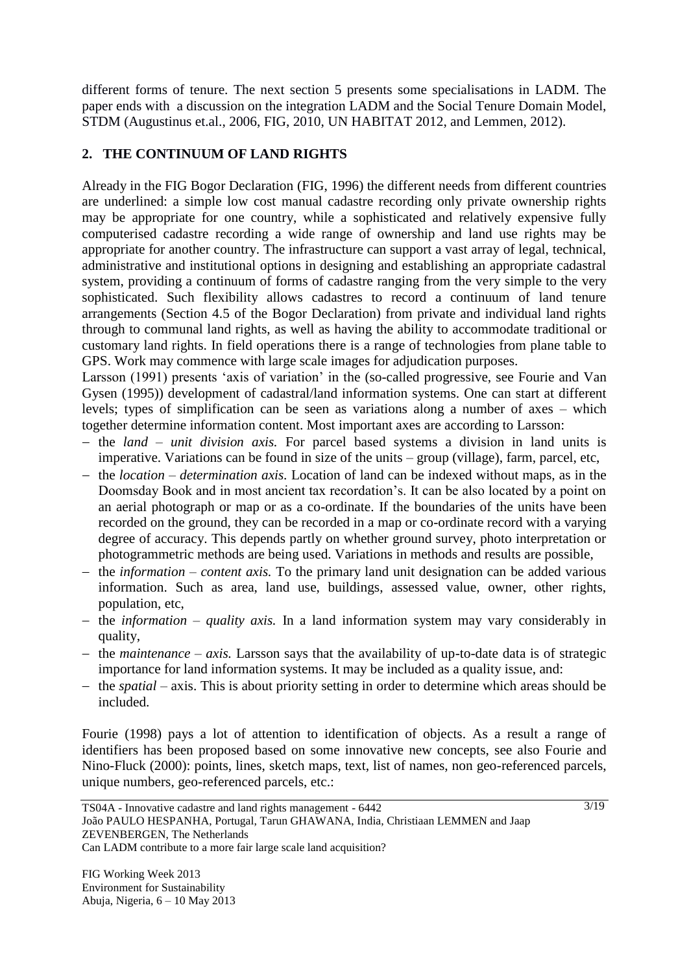different forms of tenure. The next section 5 presents some specialisations in LADM. The paper ends with a discussion on the integration LADM and the Social Tenure Domain Model, STDM (Augustinus et.al., 2006, FIG, 2010, UN HABITAT 2012, and Lemmen, 2012).

## **2. THE CONTINUUM OF LAND RIGHTS**

Already in the FIG Bogor Declaration (FIG, 1996) the different needs from different countries are underlined: a simple low cost manual cadastre recording only private ownership rights may be appropriate for one country, while a sophisticated and relatively expensive fully computerised cadastre recording a wide range of ownership and land use rights may be appropriate for another country. The infrastructure can support a vast array of legal, technical, administrative and institutional options in designing and establishing an appropriate cadastral system, providing a continuum of forms of cadastre ranging from the very simple to the very sophisticated. Such flexibility allows cadastres to record a continuum of land tenure arrangements (Section 4.5 of the Bogor Declaration) from private and individual land rights through to communal land rights, as well as having the ability to accommodate traditional or customary land rights. In field operations there is a range of technologies from plane table to GPS. Work may commence with large scale images for adjudication purposes.

Larsson (1991) presents 'axis of variation' in the (so-called progressive, see Fourie and Van Gysen (1995)) development of cadastral/land information systems. One can start at different levels; types of simplification can be seen as variations along a number of axes – which together determine information content. Most important axes are according to Larsson:

- the *land – unit division axis.* For parcel based systems a division in land units is imperative. Variations can be found in size of the units – group (village), farm, parcel, etc,
- the *location – determination axis.* Location of land can be indexed without maps, as in the Doomsday Book and in most ancient tax recordation's. It can be also located by a point on an aerial photograph or map or as a co-ordinate. If the boundaries of the units have been recorded on the ground, they can be recorded in a map or co-ordinate record with a varying degree of accuracy. This depends partly on whether ground survey, photo interpretation or photogrammetric methods are being used. Variations in methods and results are possible,
- the *information content axis*. To the primary land unit designation can be added various information. Such as area, land use, buildings, assessed value, owner, other rights, population, etc,
- the *information – quality axis.* In a land information system may vary considerably in quality,
- $-$  the *maintenance axis.* Larsson says that the availability of up-to-date data is of strategic importance for land information systems. It may be included as a quality issue, and:
- the *spatial* axis. This is about priority setting in order to determine which areas should be included.

Fourie (1998) pays a lot of attention to identification of objects. As a result a range of identifiers has been proposed based on some innovative new concepts, see also Fourie and Nino-Fluck (2000): points, lines, sketch maps, text, list of names, non geo-referenced parcels, unique numbers, geo-referenced parcels, etc.: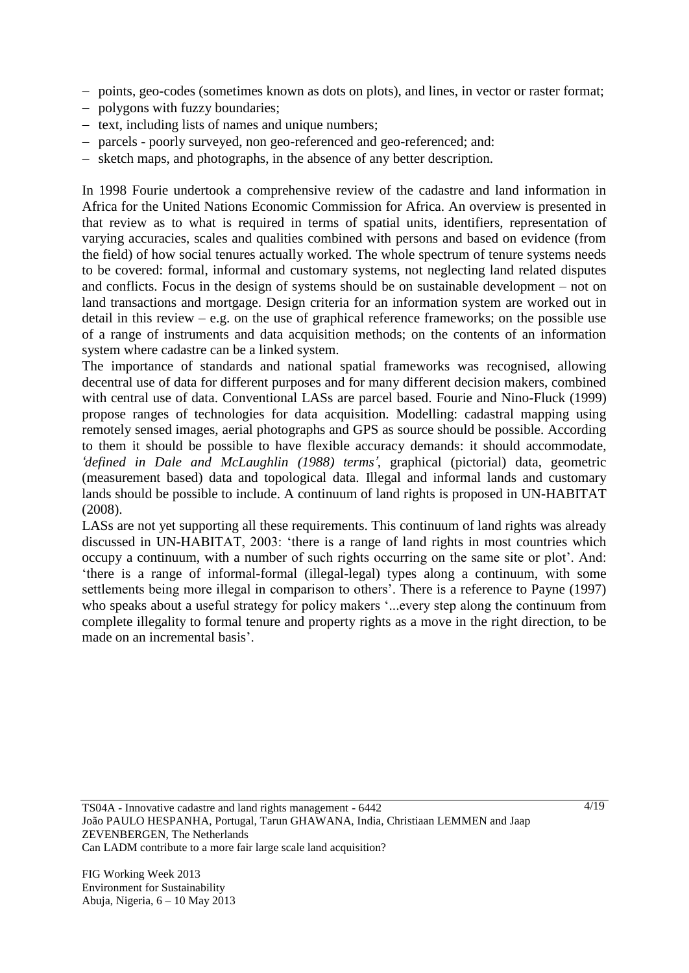- points, geo-codes (sometimes known as dots on plots), and lines, in vector or raster format;
- polygons with fuzzy boundaries;
- $-$  text, including lists of names and unique numbers;
- parcels poorly surveyed, non geo-referenced and geo-referenced; and:
- sketch maps, and photographs, in the absence of any better description.

In 1998 Fourie undertook a comprehensive review of the cadastre and land information in Africa for the United Nations Economic Commission for Africa. An overview is presented in that review as to what is required in terms of spatial units, identifiers, representation of varying accuracies, scales and qualities combined with persons and based on evidence (from the field) of how social tenures actually worked. The whole spectrum of tenure systems needs to be covered: formal, informal and customary systems, not neglecting land related disputes and conflicts. Focus in the design of systems should be on sustainable development – not on land transactions and mortgage. Design criteria for an information system are worked out in detail in this review  $-$  e.g. on the use of graphical reference frameworks; on the possible use of a range of instruments and data acquisition methods; on the contents of an information system where cadastre can be a linked system.

The importance of standards and national spatial frameworks was recognised, allowing decentral use of data for different purposes and for many different decision makers, combined with central use of data. Conventional LASs are parcel based. Fourie and Nino-Fluck (1999) propose ranges of technologies for data acquisition. Modelling: cadastral mapping using remotely sensed images, aerial photographs and GPS as source should be possible. According to them it should be possible to have flexible accuracy demands: it should accommodate, *'defined in Dale and McLaughlin (1988) terms',* graphical (pictorial) data, geometric (measurement based) data and topological data. Illegal and informal lands and customary lands should be possible to include. A continuum of land rights is proposed in UN-HABITAT (2008).

LASs are not yet supporting all these requirements. This continuum of land rights was already discussed in UN-HABITAT, 2003: "there is a range of land rights in most countries which occupy a continuum, with a number of such rights occurring on the same site or plot". And: "there is a range of informal-formal (illegal-legal) types along a continuum, with some settlements being more illegal in comparison to others'. There is a reference to Payne (1997) who speaks about a useful strategy for policy makers "...every step along the continuum from complete illegality to formal tenure and property rights as a move in the right direction, to be made on an incremental basis".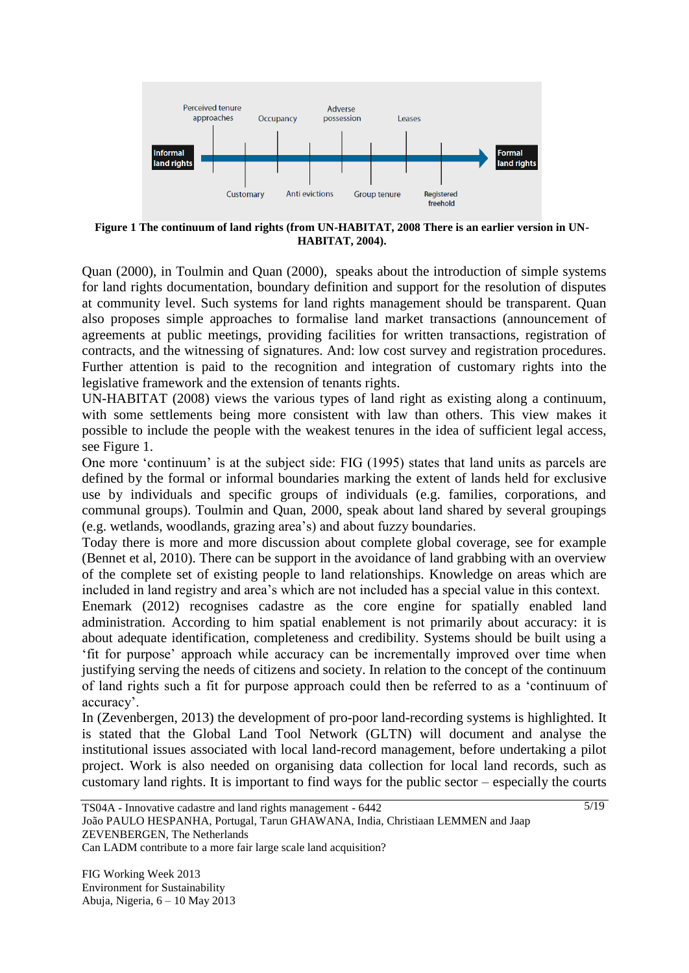

**Figure 1 The continuum of land rights (from UN-HABITAT, 2008 There is an earlier version in UN-HABITAT, 2004).**

Quan (2000), in Toulmin and Quan (2000), speaks about the introduction of simple systems for land rights documentation, boundary definition and support for the resolution of disputes at community level. Such systems for land rights management should be transparent. Quan also proposes simple approaches to formalise land market transactions (announcement of agreements at public meetings, providing facilities for written transactions, registration of contracts, and the witnessing of signatures. And: low cost survey and registration procedures. Further attention is paid to the recognition and integration of customary rights into the legislative framework and the extension of tenants rights.

UN-HABITAT (2008) views the various types of land right as existing along a continuum, with some settlements being more consistent with law than others. This view makes it possible to include the people with the weakest tenures in the idea of sufficient legal access, see Figure 1.

One more "continuum" is at the subject side: FIG (1995) states that land units as parcels are defined by the formal or informal boundaries marking the extent of lands held for exclusive use by individuals and specific groups of individuals (e.g. families, corporations, and communal groups). Toulmin and Quan, 2000, speak about land shared by several groupings (e.g. wetlands, woodlands, grazing area"s) and about fuzzy boundaries.

Today there is more and more discussion about complete global coverage, see for example (Bennet et al, 2010). There can be support in the avoidance of land grabbing with an overview of the complete set of existing people to land relationships. Knowledge on areas which are included in land registry and area"s which are not included has a special value in this context.

Enemark (2012) recognises cadastre as the core engine for spatially enabled land administration. According to him spatial enablement is not primarily about accuracy: it is about adequate identification, completeness and credibility. Systems should be built using a "fit for purpose" approach while accuracy can be incrementally improved over time when justifying serving the needs of citizens and society. In relation to the concept of the continuum of land rights such a fit for purpose approach could then be referred to as a "continuum of accuracy".

In (Zevenbergen, 2013) the development of pro-poor land-recording systems is highlighted. It is stated that the Global Land Tool Network (GLTN) will document and analyse the institutional issues associated with local land-record management, before undertaking a pilot project. Work is also needed on organising data collection for local land records, such as customary land rights. It is important to find ways for the public sector – especially the courts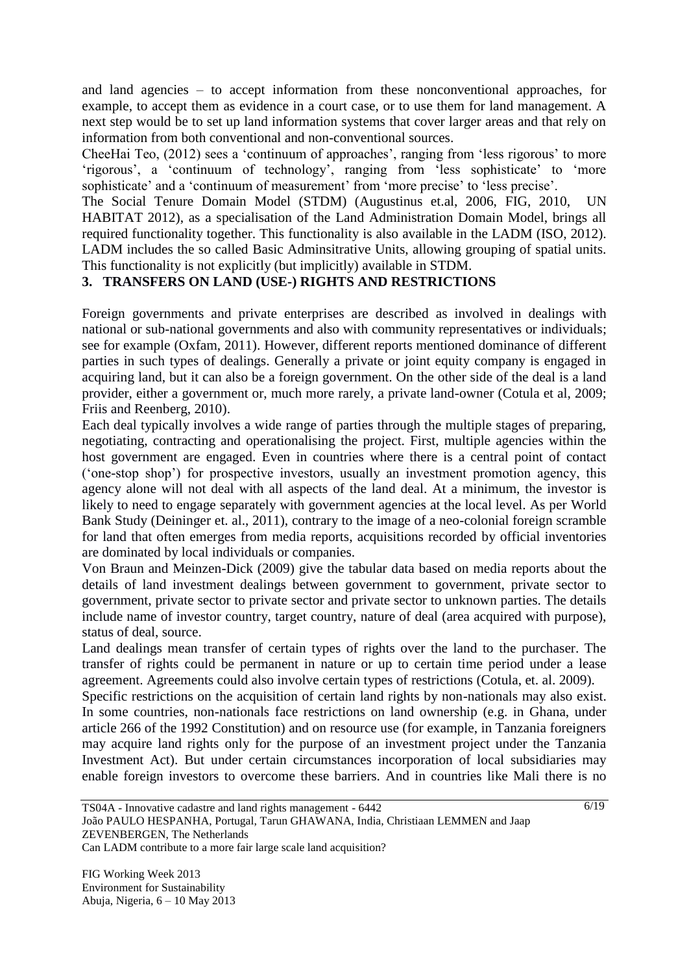and land agencies – to accept information from these nonconventional approaches, for example, to accept them as evidence in a court case, or to use them for land management. A next step would be to set up land information systems that cover larger areas and that rely on information from both conventional and non-conventional sources.

CheeHai Teo, (2012) sees a 'continuum of approaches', ranging from 'less rigorous' to more 'rigorous', a 'continuum of technology', ranging from 'less sophisticate' to 'more sophisticate' and a 'continuum of measurement' from 'more precise' to 'less precise'.

The Social Tenure Domain Model (STDM) (Augustinus et.al, 2006, FIG, 2010, UN HABITAT 2012), as a specialisation of the Land Administration Domain Model, brings all required functionality together. This functionality is also available in the LADM (ISO, 2012). LADM includes the so called Basic Adminsitrative Units, allowing grouping of spatial units. This functionality is not explicitly (but implicitly) available in STDM.

## **3. TRANSFERS ON LAND (USE-) RIGHTS AND RESTRICTIONS**

Foreign governments and private enterprises are described as involved in dealings with national or sub-national governments and also with community representatives or individuals; see for example (Oxfam, 2011). However, different reports mentioned dominance of different parties in such types of dealings. Generally a private or joint equity company is engaged in acquiring land, but it can also be a foreign government. On the other side of the deal is a land provider, either a government or, much more rarely, a private land-owner (Cotula et al, 2009; Friis and Reenberg, 2010).

Each deal typically involves a wide range of parties through the multiple stages of preparing, negotiating, contracting and operationalising the project. First, multiple agencies within the host government are engaged. Even in countries where there is a central point of contact ("one-stop shop") for prospective investors, usually an investment promotion agency, this agency alone will not deal with all aspects of the land deal. At a minimum, the investor is likely to need to engage separately with government agencies at the local level. As per World Bank Study (Deininger et. al., 2011), contrary to the image of a neo-colonial foreign scramble for land that often emerges from media reports, acquisitions recorded by official inventories are dominated by local individuals or companies.

Von Braun and Meinzen-Dick (2009) give the tabular data based on media reports about the details of land investment dealings between government to government, private sector to government, private sector to private sector and private sector to unknown parties. The details include name of investor country, target country, nature of deal (area acquired with purpose), status of deal, source.

Land dealings mean transfer of certain types of rights over the land to the purchaser. The transfer of rights could be permanent in nature or up to certain time period under a lease agreement. Agreements could also involve certain types of restrictions (Cotula, et. al. 2009).

Specific restrictions on the acquisition of certain land rights by non-nationals may also exist. In some countries, non-nationals face restrictions on land ownership (e.g. in Ghana, under article 266 of the 1992 Constitution) and on resource use (for example, in Tanzania foreigners may acquire land rights only for the purpose of an investment project under the Tanzania Investment Act). But under certain circumstances incorporation of local subsidiaries may enable foreign investors to overcome these barriers. And in countries like Mali there is no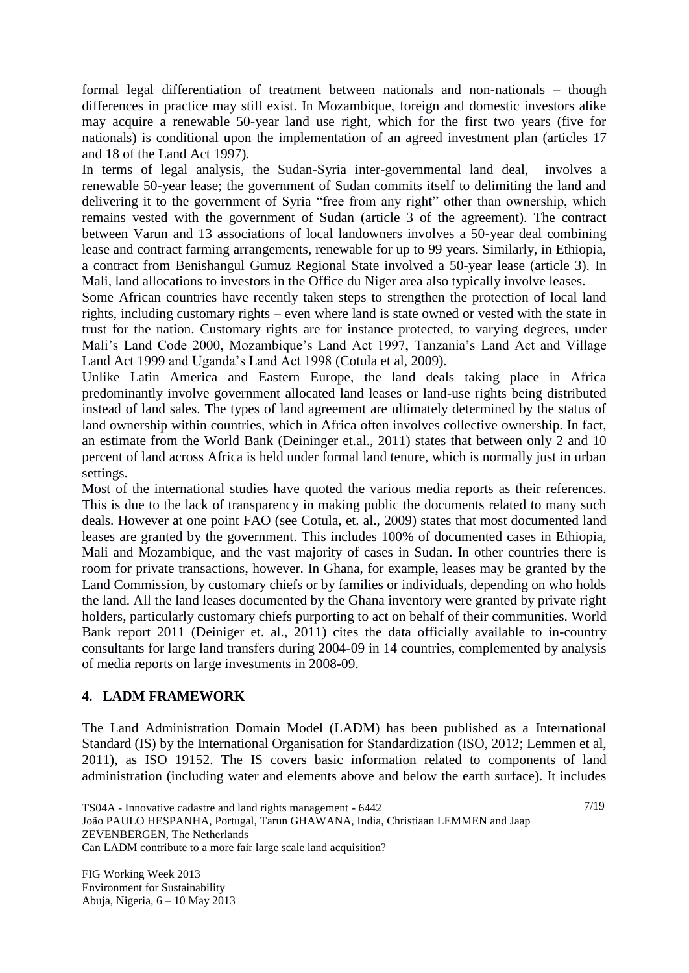formal legal differentiation of treatment between nationals and non-nationals – though differences in practice may still exist. In Mozambique, foreign and domestic investors alike may acquire a renewable 50-year land use right, which for the first two years (five for nationals) is conditional upon the implementation of an agreed investment plan (articles 17 and 18 of the Land Act 1997).

In terms of legal analysis, the Sudan-Syria inter-governmental land deal, involves a renewable 50-year lease; the government of Sudan commits itself to delimiting the land and delivering it to the government of Syria "free from any right" other than ownership, which remains vested with the government of Sudan (article 3 of the agreement). The contract between Varun and 13 associations of local landowners involves a 50-year deal combining lease and contract farming arrangements, renewable for up to 99 years. Similarly, in Ethiopia, a contract from Benishangul Gumuz Regional State involved a 50-year lease (article 3). In Mali, land allocations to investors in the Office du Niger area also typically involve leases.

Some African countries have recently taken steps to strengthen the protection of local land rights, including customary rights – even where land is state owned or vested with the state in trust for the nation. Customary rights are for instance protected, to varying degrees, under Mali's Land Code 2000, Mozambique's Land Act 1997, Tanzania's Land Act and Village Land Act 1999 and Uganda"s Land Act 1998 (Cotula et al, 2009).

Unlike Latin America and Eastern Europe, the land deals taking place in Africa predominantly involve government allocated land leases or land-use rights being distributed instead of land sales. The types of land agreement are ultimately determined by the status of land ownership within countries, which in Africa often involves collective ownership. In fact, an estimate from the World Bank (Deininger et.al., 2011) states that between only 2 and 10 percent of land across Africa is held under formal land tenure, which is normally just in urban settings.

Most of the international studies have quoted the various media reports as their references. This is due to the lack of transparency in making public the documents related to many such deals. However at one point FAO (see Cotula, et. al., 2009) states that most documented land leases are granted by the government. This includes 100% of documented cases in Ethiopia, Mali and Mozambique, and the vast majority of cases in Sudan. In other countries there is room for private transactions, however. In Ghana, for example, leases may be granted by the Land Commission, by customary chiefs or by families or individuals, depending on who holds the land. All the land leases documented by the Ghana inventory were granted by private right holders, particularly customary chiefs purporting to act on behalf of their communities. World Bank report 2011 (Deiniger et. al., 2011) cites the data officially available to in-country consultants for large land transfers during 2004-09 in 14 countries, complemented by analysis of media reports on large investments in 2008-09.

### **4. LADM FRAMEWORK**

The Land Administration Domain Model (LADM) has been published as a International Standard (IS) by the International Organisation for Standardization (ISO, 2012; Lemmen et al, 2011), as ISO 19152. The IS covers basic information related to components of land administration (including water and elements above and below the earth surface). It includes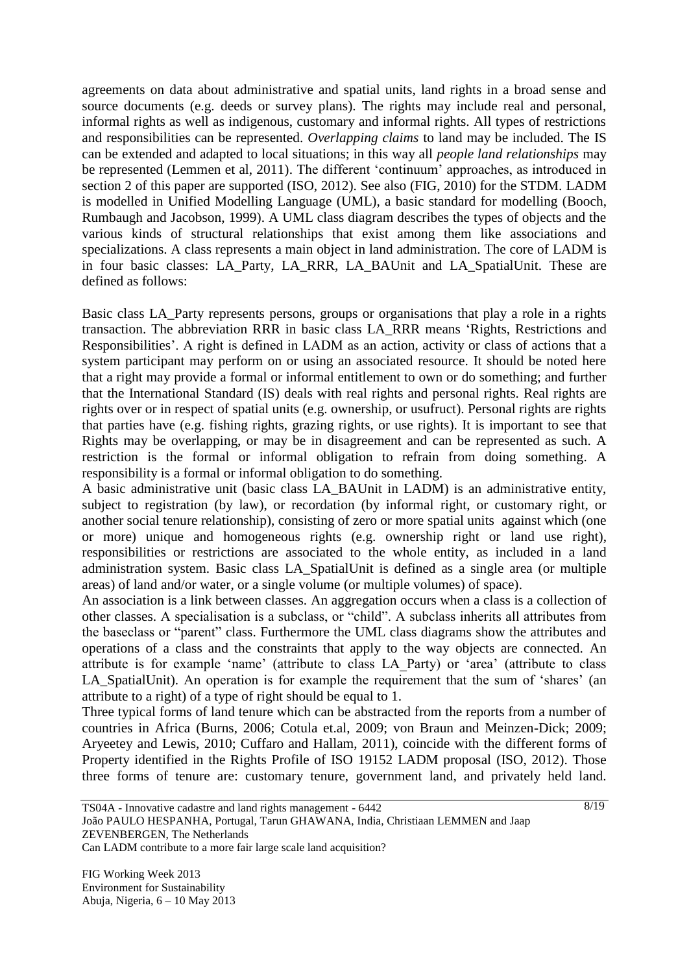agreements on data about administrative and spatial units, land rights in a broad sense and source documents (e.g. deeds or survey plans). The rights may include real and personal, informal rights as well as indigenous, customary and informal rights. All types of restrictions and responsibilities can be represented. *Overlapping claims* to land may be included. The IS can be extended and adapted to local situations; in this way all *people land relationships* may be represented (Lemmen et al, 2011). The different 'continuum' approaches, as introduced in section 2 of this paper are supported (ISO, 2012). See also (FIG, 2010) for the STDM. LADM is modelled in Unified Modelling Language (UML), a basic standard for modelling (Booch, Rumbaugh and Jacobson, 1999). A UML class diagram describes the types of objects and the various kinds of structural relationships that exist among them like associations and specializations. A class represents a main object in land administration. The core of LADM is in four basic classes: LA\_Party, LA\_RRR, LA\_BAUnit and LA\_SpatialUnit. These are defined as follows:

Basic class LA Party represents persons, groups or organisations that play a role in a rights transaction. The abbreviation RRR in basic class LA\_RRR means "Rights, Restrictions and Responsibilities'. A right is defined in LADM as an action, activity or class of actions that a system participant may perform on or using an associated resource. It should be noted here that a right may provide a formal or informal entitlement to own or do something; and further that the International Standard (IS) deals with real rights and personal rights. Real rights are rights over or in respect of spatial units (e.g. ownership, or usufruct). Personal rights are rights that parties have (e.g. fishing rights, grazing rights, or use rights). It is important to see that Rights may be overlapping, or may be in disagreement and can be represented as such. A restriction is the formal or informal obligation to refrain from doing something. A responsibility is a formal or informal obligation to do something.

A basic administrative unit (basic class LA\_BAUnit in LADM) is an administrative entity, subject to registration (by law), or recordation (by informal right, or customary right, or another social tenure relationship), consisting of zero or more spatial units against which (one or more) unique and homogeneous rights (e.g. ownership right or land use right), responsibilities or restrictions are associated to the whole entity, as included in a land administration system. Basic class LA\_SpatialUnit is defined as a single area (or multiple areas) of land and/or water, or a single volume (or multiple volumes) of space).

An association is a link between classes. An aggregation occurs when a class is a collection of other classes. A specialisation is a subclass, or "child". A subclass inherits all attributes from the baseclass or "parent" class. Furthermore the UML class diagrams show the attributes and operations of a class and the constraints that apply to the way objects are connected. An attribute is for example 'name' (attribute to class LA Party) or 'area' (attribute to class LA\_SpatialUnit). An operation is for example the requirement that the sum of 'shares' (an attribute to a right) of a type of right should be equal to 1.

Three typical forms of land tenure which can be abstracted from the reports from a number of countries in Africa (Burns, 2006; Cotula et.al, 2009; von Braun and Meinzen-Dick; 2009; Aryeetey and Lewis, 2010; Cuffaro and Hallam, 2011), coincide with the different forms of Property identified in the Rights Profile of ISO 19152 LADM proposal (ISO, 2012). Those three forms of tenure are: customary tenure, government land, and privately held land.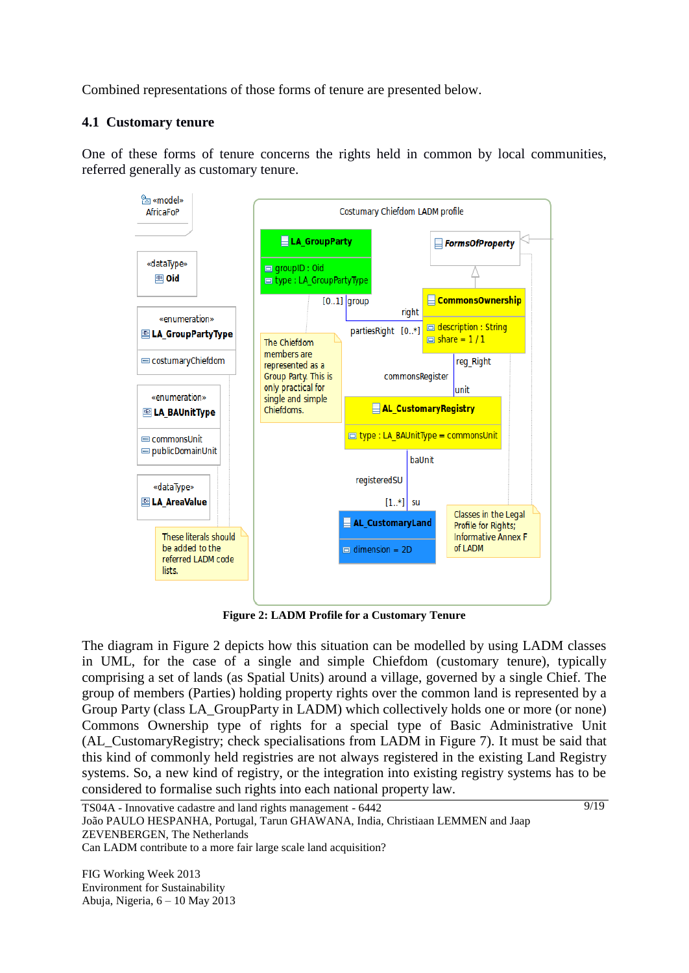Combined representations of those forms of tenure are presented below.

### **4.1 Customary tenure**

One of these forms of tenure concerns the rights held in common by local communities, referred generally as customary tenure.



**Figure 2: LADM Profile for a Customary Tenure**

The diagram in Figure 2 depicts how this situation can be modelled by using LADM classes in UML, for the case of a single and simple Chiefdom (customary tenure), typically comprising a set of lands (as Spatial Units) around a village, governed by a single Chief. The group of members (Parties) holding property rights over the common land is represented by a Group Party (class LA\_GroupParty in LADM) which collectively holds one or more (or none) Commons Ownership type of rights for a special type of Basic Administrative Unit (AL\_CustomaryRegistry; check specialisations from LADM in Figure 7). It must be said that this kind of commonly held registries are not always registered in the existing Land Registry systems. So, a new kind of registry, or the integration into existing registry systems has to be considered to formalise such rights into each national property law.

TS04A - Innovative cadastre and land rights management - 6442 João PAULO HESPANHA, Portugal, Tarun GHAWANA, India, Christiaan LEMMEN and Jaap ZEVENBERGEN, The Netherlands Can LADM contribute to a more fair large scale land acquisition?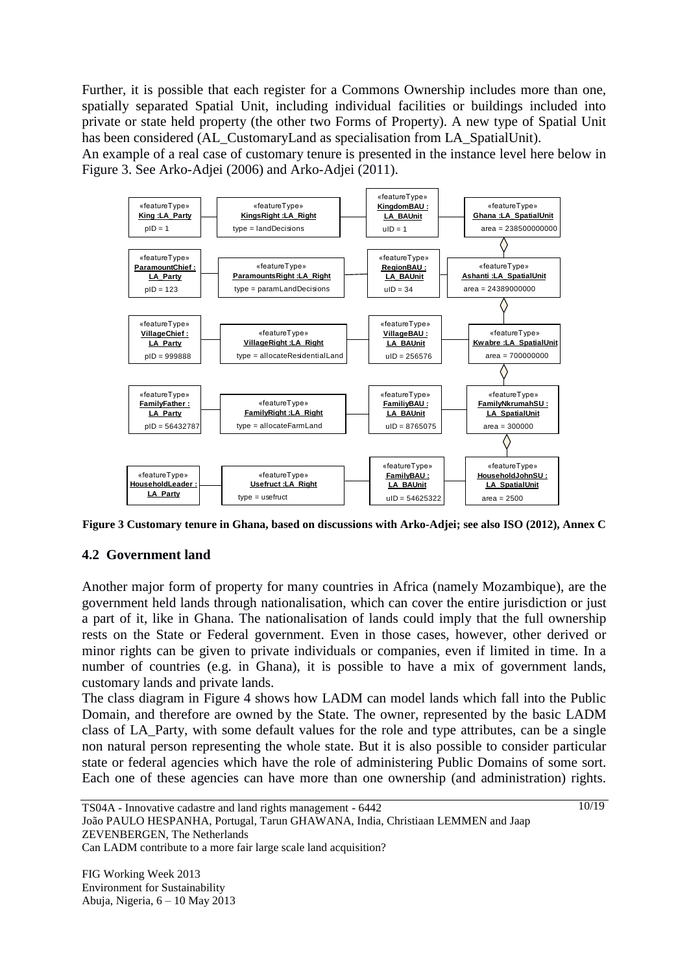Further, it is possible that each register for a Commons Ownership includes more than one, spatially separated Spatial Unit, including individual facilities or buildings included into private or state held property (the other two Forms of Property). A new type of Spatial Unit has been considered (AL\_CustomaryLand as specialisation from LA\_SpatialUnit).

An example of a real case of customary tenure is presented in the instance level here below in Figure 3. See Arko-Adjei (2006) and Arko-Adjei (2011).



**Figure 3 Customary tenure in Ghana, based on discussions with Arko-Adjei; see also ISO (2012), Annex C**

### **4.2 Government land**

Another major form of property for many countries in Africa (namely Mozambique), are the government held lands through nationalisation, which can cover the entire jurisdiction or just a part of it, like in Ghana. The nationalisation of lands could imply that the full ownership rests on the State or Federal government. Even in those cases, however, other derived or minor rights can be given to private individuals or companies, even if limited in time. In a number of countries (e.g. in Ghana), it is possible to have a mix of government lands, customary lands and private lands.

The class diagram in Figure 4 shows how LADM can model lands which fall into the Public Domain, and therefore are owned by the State. The owner, represented by the basic LADM class of LA\_Party, with some default values for the role and type attributes, can be a single non natural person representing the whole state. But it is also possible to consider particular state or federal agencies which have the role of administering Public Domains of some sort. Each one of these agencies can have more than one ownership (and administration) rights.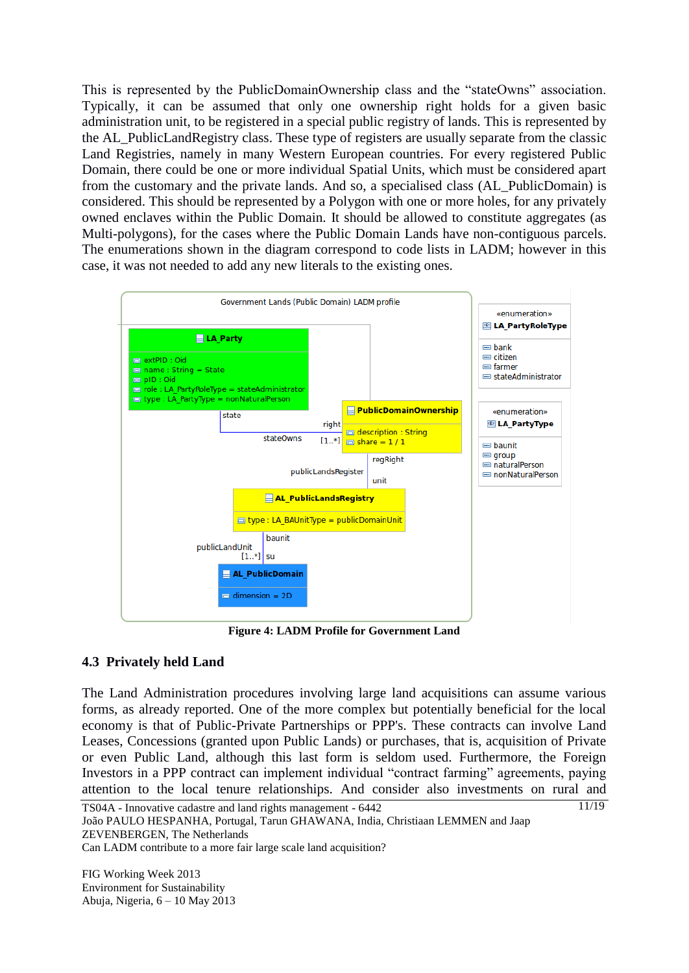This is represented by the PublicDomainOwnership class and the "stateOwns" association. Typically, it can be assumed that only one ownership right holds for a given basic administration unit, to be registered in a special public registry of lands. This is represented by the AL\_PublicLandRegistry class. These type of registers are usually separate from the classic Land Registries, namely in many Western European countries. For every registered Public Domain, there could be one or more individual Spatial Units, which must be considered apart from the customary and the private lands. And so, a specialised class (AL\_PublicDomain) is considered. This should be represented by a Polygon with one or more holes, for any privately owned enclaves within the Public Domain. It should be allowed to constitute aggregates (as Multi-polygons), for the cases where the Public Domain Lands have non-contiguous parcels. The enumerations shown in the diagram correspond to code lists in LADM; however in this case, it was not needed to add any new literals to the existing ones.



**Figure 4: LADM Profile for Government Land**

# **4.3 Privately held Land**

The Land Administration procedures involving large land acquisitions can assume various forms, as already reported. One of the more complex but potentially beneficial for the local economy is that of Public-Private Partnerships or PPP's. These contracts can involve Land Leases, Concessions (granted upon Public Lands) or purchases, that is, acquisition of Private or even Public Land, although this last form is seldom used. Furthermore, the Foreign Investors in a PPP contract can implement individual "contract farming" agreements, paying attention to the local tenure relationships. And consider also investments on rural and

11/19

TS04A - Innovative cadastre and land rights management - 6442 João PAULO HESPANHA, Portugal, Tarun GHAWANA, India, Christiaan LEMMEN and Jaap ZEVENBERGEN, The Netherlands Can LADM contribute to a more fair large scale land acquisition?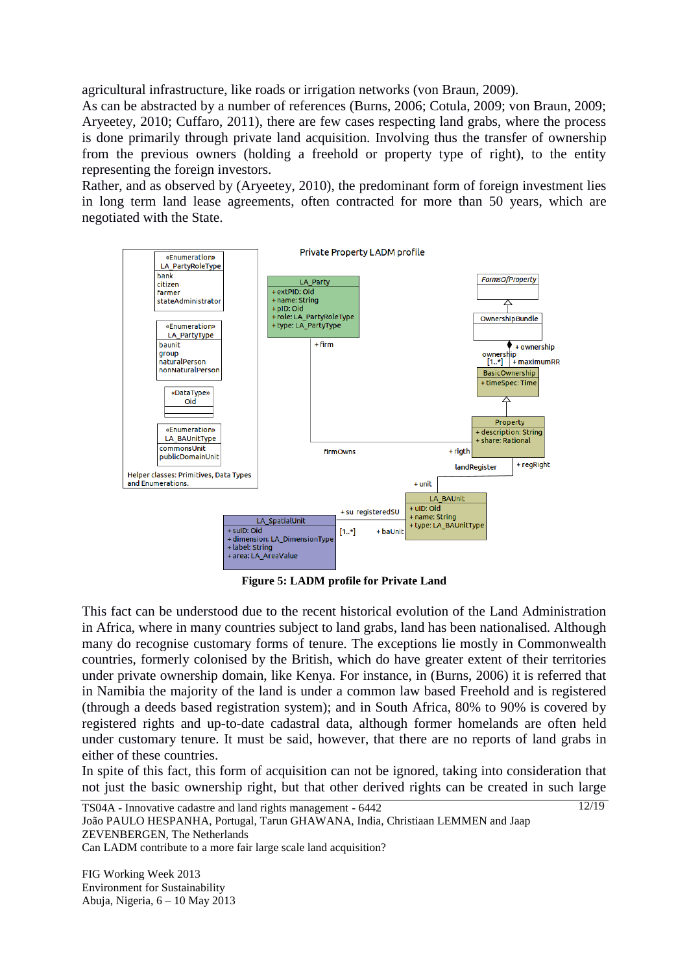agricultural infrastructure, like roads or irrigation networks (von Braun, 2009).

As can be abstracted by a number of references (Burns, 2006; Cotula, 2009; von Braun, 2009; Aryeetey, 2010; Cuffaro, 2011), there are few cases respecting land grabs, where the process is done primarily through private land acquisition. Involving thus the transfer of ownership from the previous owners (holding a freehold or property type of right), to the entity representing the foreign investors.

Rather, and as observed by (Aryeetey, 2010), the predominant form of foreign investment lies in long term land lease agreements, often contracted for more than 50 years, which are negotiated with the State.



**Figure 5: LADM profile for Private Land**

This fact can be understood due to the recent historical evolution of the Land Administration in Africa, where in many countries subject to land grabs, land has been nationalised. Although many do recognise customary forms of tenure. The exceptions lie mostly in Commonwealth countries, formerly colonised by the British, which do have greater extent of their territories under private ownership domain, like Kenya. For instance, in (Burns, 2006) it is referred that in Namibia the majority of the land is under a common law based Freehold and is registered (through a deeds based registration system); and in South Africa, 80% to 90% is covered by registered rights and up-to-date cadastral data, although former homelands are often held under customary tenure. It must be said, however, that there are no reports of land grabs in either of these countries.

In spite of this fact, this form of acquisition can not be ignored, taking into consideration that not just the basic ownership right, but that other derived rights can be created in such large

12/19

TS04A - Innovative cadastre and land rights management - 6442 João PAULO HESPANHA, Portugal, Tarun GHAWANA, India, Christiaan LEMMEN and Jaap ZEVENBERGEN, The Netherlands Can LADM contribute to a more fair large scale land acquisition?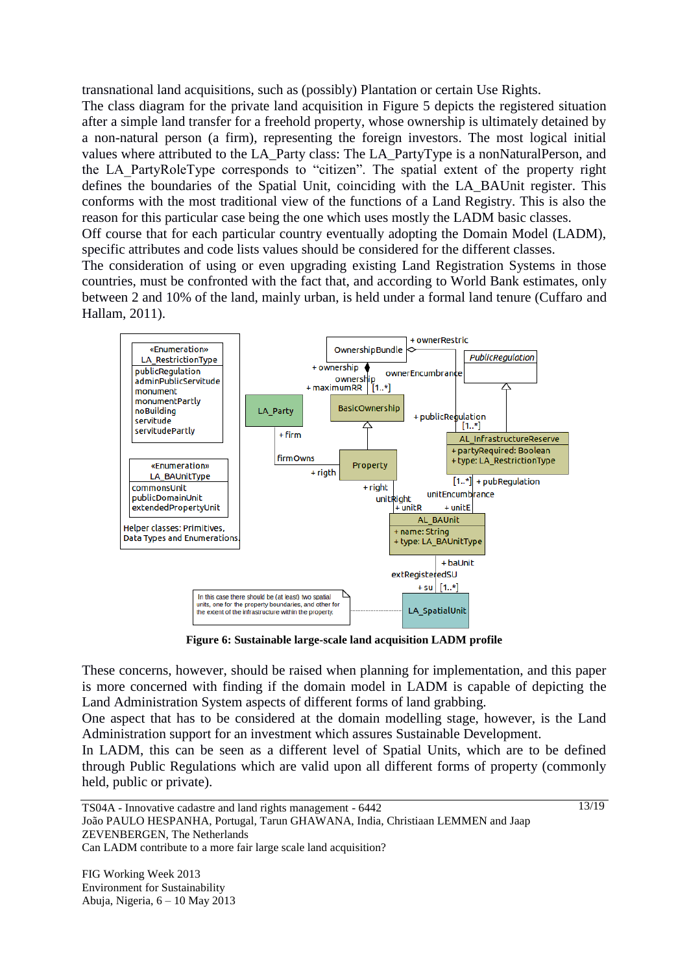transnational land acquisitions, such as (possibly) Plantation or certain Use Rights.

The class diagram for the private land acquisition in Figure 5 depicts the registered situation after a simple land transfer for a freehold property, whose ownership is ultimately detained by a non-natural person (a firm), representing the foreign investors. The most logical initial values where attributed to the LA\_Party class: The LA\_PartyType is a nonNaturalPerson, and the LA\_PartyRoleType corresponds to "citizen". The spatial extent of the property right defines the boundaries of the Spatial Unit, coinciding with the LA\_BAUnit register. This conforms with the most traditional view of the functions of a Land Registry. This is also the reason for this particular case being the one which uses mostly the LADM basic classes.

Off course that for each particular country eventually adopting the Domain Model (LADM), specific attributes and code lists values should be considered for the different classes.

The consideration of using or even upgrading existing Land Registration Systems in those countries, must be confronted with the fact that, and according to World Bank estimates, only between 2 and 10% of the land, mainly urban, is held under a formal land tenure (Cuffaro and Hallam, 2011).



**Figure 6: Sustainable large-scale land acquisition LADM profile**

These concerns, however, should be raised when planning for implementation, and this paper is more concerned with finding if the domain model in LADM is capable of depicting the Land Administration System aspects of different forms of land grabbing.

One aspect that has to be considered at the domain modelling stage, however, is the Land Administration support for an investment which assures Sustainable Development.

In LADM, this can be seen as a different level of Spatial Units, which are to be defined through Public Regulations which are valid upon all different forms of property (commonly held, public or private).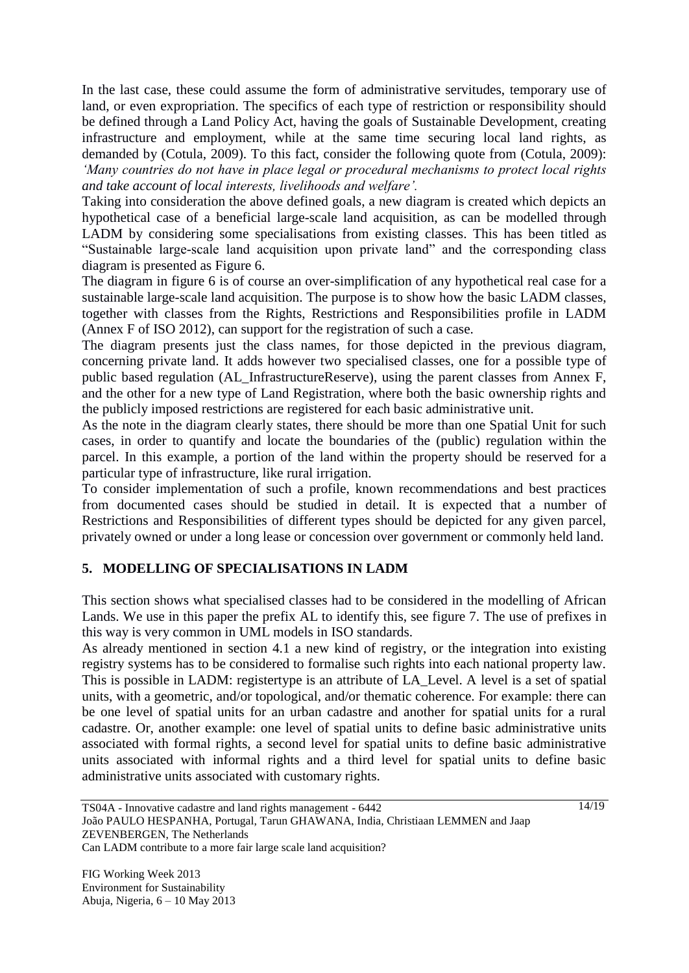In the last case, these could assume the form of administrative servitudes, temporary use of land, or even expropriation. The specifics of each type of restriction or responsibility should be defined through a Land Policy Act, having the goals of Sustainable Development, creating infrastructure and employment, while at the same time securing local land rights, as demanded by (Cotula, 2009). To this fact, consider the following quote from (Cotula, 2009): *'Many countries do not have in place legal or procedural mechanisms to protect local rights and take account of local interests, livelihoods and welfare'.*

Taking into consideration the above defined goals, a new diagram is created which depicts an hypothetical case of a beneficial large-scale land acquisition, as can be modelled through LADM by considering some specialisations from existing classes. This has been titled as "Sustainable large-scale land acquisition upon private land" and the corresponding class diagram is presented as Figure 6.

The diagram in figure 6 is of course an over-simplification of any hypothetical real case for a sustainable large-scale land acquisition. The purpose is to show how the basic LADM classes, together with classes from the Rights, Restrictions and Responsibilities profile in LADM (Annex F of ISO 2012), can support for the registration of such a case.

The diagram presents just the class names, for those depicted in the previous diagram, concerning private land. It adds however two specialised classes, one for a possible type of public based regulation (AL\_InfrastructureReserve), using the parent classes from Annex F, and the other for a new type of Land Registration, where both the basic ownership rights and the publicly imposed restrictions are registered for each basic administrative unit.

As the note in the diagram clearly states, there should be more than one Spatial Unit for such cases, in order to quantify and locate the boundaries of the (public) regulation within the parcel. In this example, a portion of the land within the property should be reserved for a particular type of infrastructure, like rural irrigation.

To consider implementation of such a profile, known recommendations and best practices from documented cases should be studied in detail. It is expected that a number of Restrictions and Responsibilities of different types should be depicted for any given parcel, privately owned or under a long lease or concession over government or commonly held land.

# **5. MODELLING OF SPECIALISATIONS IN LADM**

This section shows what specialised classes had to be considered in the modelling of African Lands. We use in this paper the prefix AL to identify this, see figure 7. The use of prefixes in this way is very common in UML models in ISO standards.

As already mentioned in section 4.1 a new kind of registry, or the integration into existing registry systems has to be considered to formalise such rights into each national property law. This is possible in LADM: registertype is an attribute of LA\_Level. A level is a set of spatial units, with a geometric, and/or topological, and/or thematic coherence. For example: there can be one level of spatial units for an urban cadastre and another for spatial units for a rural cadastre. Or, another example: one level of spatial units to define basic administrative units associated with formal rights, a second level for spatial units to define basic administrative units associated with informal rights and a third level for spatial units to define basic administrative units associated with customary rights.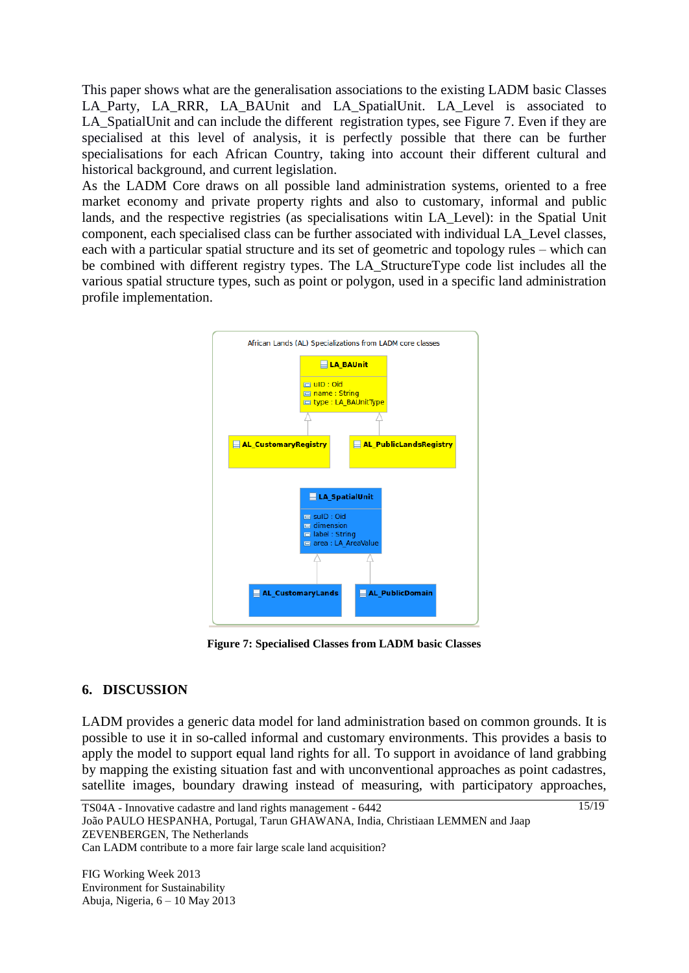This paper shows what are the generalisation associations to the existing LADM basic Classes LA Party, LA RRR, LA BAUnit and LA SpatialUnit. LA Level is associated to LA SpatialUnit and can include the different registration types, see Figure 7. Even if they are specialised at this level of analysis, it is perfectly possible that there can be further specialisations for each African Country, taking into account their different cultural and historical background, and current legislation.

As the LADM Core draws on all possible land administration systems, oriented to a free market economy and private property rights and also to customary, informal and public lands, and the respective registries (as specialisations witin LA\_Level): in the Spatial Unit component, each specialised class can be further associated with individual LA\_Level classes, each with a particular spatial structure and its set of geometric and topology rules – which can be combined with different registry types. The LA\_StructureType code list includes all the various spatial structure types, such as point or polygon, used in a specific land administration profile implementation.



**Figure 7: Specialised Classes from LADM basic Classes**

# **6. DISCUSSION**

LADM provides a generic data model for land administration based on common grounds. It is possible to use it in so-called informal and customary environments. This provides a basis to apply the model to support equal land rights for all. To support in avoidance of land grabbing by mapping the existing situation fast and with unconventional approaches as point cadastres, satellite images, boundary drawing instead of measuring, with participatory approaches,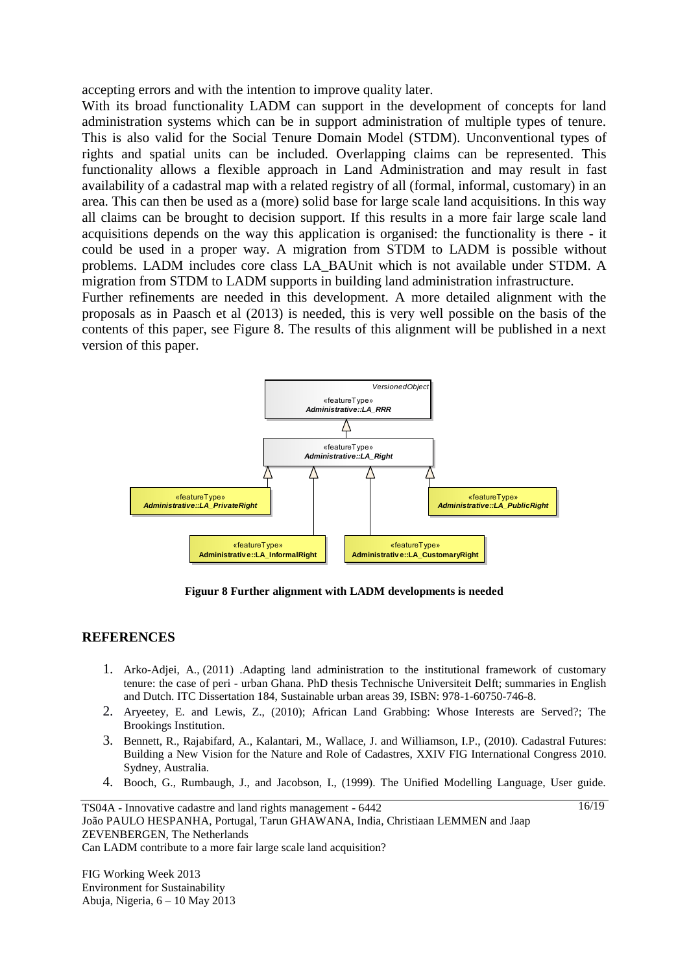accepting errors and with the intention to improve quality later.

With its broad functionality LADM can support in the development of concepts for land administration systems which can be in support administration of multiple types of tenure. This is also valid for the Social Tenure Domain Model (STDM). Unconventional types of rights and spatial units can be included. Overlapping claims can be represented. This functionality allows a flexible approach in Land Administration and may result in fast availability of a cadastral map with a related registry of all (formal, informal, customary) in an area. This can then be used as a (more) solid base for large scale land acquisitions. In this way all claims can be brought to decision support. If this results in a more fair large scale land acquisitions depends on the way this application is organised: the functionality is there - it could be used in a proper way. A migration from STDM to LADM is possible without problems. LADM includes core class LA\_BAUnit which is not available under STDM. A migration from STDM to LADM supports in building land administration infrastructure.

Further refinements are needed in this development. A more detailed alignment with the proposals as in Paasch et al (2013) is needed, this is very well possible on the basis of the contents of this paper, see Figure 8. The results of this alignment will be published in a next version of this paper.



**Figuur 8 Further alignment with LADM developments is needed**

#### **REFERENCES**

- 1. Arko-Adjei, A., (2011) .Adapting land administration to the institutional framework of customary tenure: the case of peri - urban Ghana. PhD thesis Technische Universiteit Delft; summaries in English and Dutch. ITC Dissertation 184, Sustainable urban areas 39, ISBN: 978-1-60750-746-8.
- 2. Aryeetey, E. and Lewis, Z., (2010); African Land Grabbing: Whose Interests are Served?; The Brookings Institution.
- 3. Bennett, R., Rajabifard, A., Kalantari, M., Wallace, J. and Williamson, I.P., (2010). Cadastral Futures: Building a New Vision for the Nature and Role of Cadastres, XXIV FIG International Congress 2010. Sydney, Australia.
- 4. Booch, G., Rumbaugh, J., and Jacobson, I., (1999). The Unified Modelling Language, User guide.

 $16/19$ 

TS04A - Innovative cadastre and land rights management - 6442 João PAULO HESPANHA, Portugal, Tarun GHAWANA, India, Christiaan LEMMEN and Jaap ZEVENBERGEN, The Netherlands Can LADM contribute to a more fair large scale land acquisition?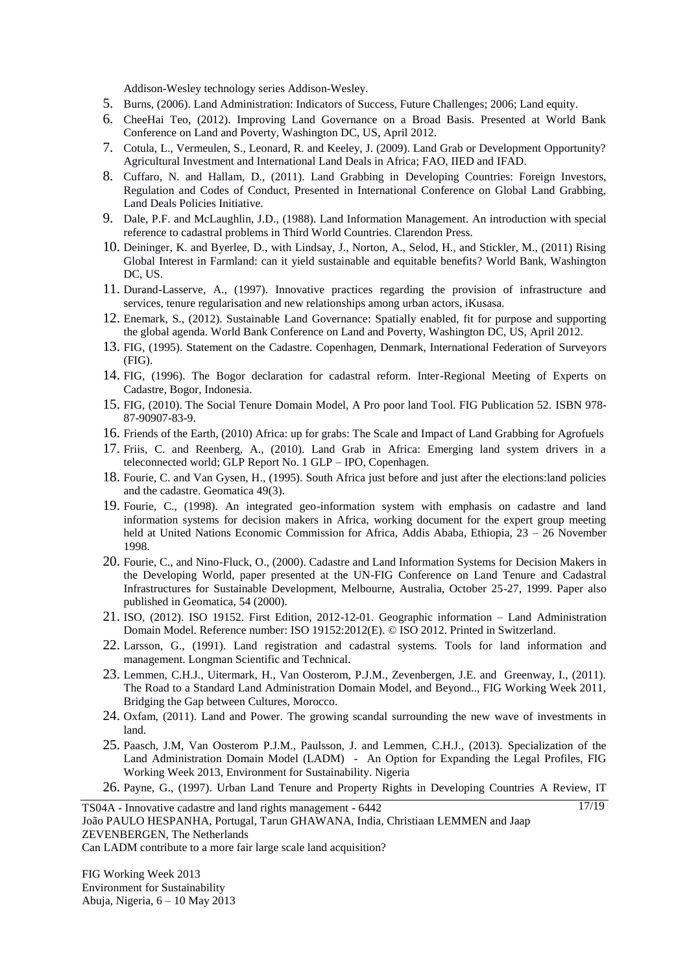Addison-Wesley technology series Addison-Wesley.

- 5. Burns, (2006). Land Administration: Indicators of Success, Future Challenges; 2006; Land equity.
- 6. CheeHai Teo, (2012). Improving Land Governance on a Broad Basis. Presented at World Bank Conference on Land and Poverty, Washington DC, US, April 2012.
- 7. Cotula, L., Vermeulen, S., Leonard, R. and Keeley, J. (2009). Land Grab or Development Opportunity? Agricultural Investment and International Land Deals in Africa; FAO, IIED and IFAD.
- 8. Cuffaro, N. and Hallam, D., (2011). Land Grabbing in Developing Countries: Foreign Investors, Regulation and Codes of Conduct, Presented in International Conference on Global Land Grabbing, Land Deals Policies Initiative.
- 9. Dale, P.F. and McLaughlin, J.D., (1988). Land Information Management. An introduction with special reference to cadastral problems in Third World Countries. Clarendon Press.
- 10. Deininger, K. and Byerlee, D., with Lindsay, J., Norton, A., Selod, H., and Stickler, M., (2011) Rising Global Interest in Farmland: can it yield sustainable and equitable benefits? World Bank, Washington DC, US.
- 11. Durand-Lasserve, A., (1997). Innovative practices regarding the provision of infrastructure and services, tenure regularisation and new relationships among urban actors, iKusasa.
- 12. Enemark, S., (2012). Sustainable Land Governance: Spatially enabled, fit for purpose and supporting the global agenda. World Bank Conference on Land and Poverty, Washington DC, US, April 2012.
- 13. FIG, (1995). Statement on the Cadastre. Copenhagen, Denmark, International Federation of Surveyors (FIG).
- 14. FIG, (1996). The Bogor declaration for cadastral reform. Inter-Regional Meeting of Experts on Cadastre, Bogor, Indonesia.
- 15. FIG, (2010). The Social Tenure Domain Model, A Pro poor land Tool. FIG Publication 52. ISBN 978- 87-90907-83-9.
- 16. Friends of the Earth, (2010) Africa: up for grabs: The Scale and Impact of Land Grabbing for Agrofuels
- 17. Friis, C. and Reenberg, A., (2010). Land Grab in Africa: Emerging land system drivers in a teleconnected world; GLP Report No. 1 GLP – IPO, Copenhagen.
- 18. Fourie, C. and Van Gysen, H., (1995). South Africa just before and just after the elections:land policies and the cadastre. Geomatica 49(3).
- 19. Fourie, C., (1998). An integrated geo-information system with emphasis on cadastre and land information systems for decision makers in Africa, working document for the expert group meeting held at United Nations Economic Commission for Africa, Addis Ababa, Ethiopia, 23 – 26 November 1998.
- 20. Fourie, C., and Nino-Fluck, O., (2000). Cadastre and Land Information Systems for Decision Makers in the Developing World, paper presented at the UN-FIG Conference on Land Tenure and Cadastral Infrastructures for Sustainable Development, Melbourne, Australia, October 25-27, 1999. Paper also published in Geomatica, 54 (2000).
- 21. ISO, (2012). ISO 19152. First Edition, 2012-12-01. Geographic information Land Administration Domain Model. Reference number: ISO 19152:2012(E). © ISO 2012. Printed in Switzerland.
- 22. Larsson, G., (1991). Land registration and cadastral systems. Tools for land information and management. Longman Scientific and Technical.
- 23. Lemmen, C.H.J., Uitermark, H., Van Oosterom, P.J.M., Zevenbergen, J.E. and Greenway, I., (2011). The Road to a Standard Land Administration Domain Model, and Beyond.., FIG Working Week 2011, Bridging the Gap between Cultures, Morocco.
- 24. Oxfam, (2011). Land and Power. The growing scandal surrounding the new wave of investments in land.
- 25. Paasch, J.M, Van Oosterom P.J.M., Paulsson, J. and Lemmen, C.H.J., (2013). Specialization of the Land Administration Domain Model (LADM) - An Option for Expanding the Legal Profiles, FIG Working Week 2013, Environment for Sustainability. Nigeria

26. Payne, G., (1997). Urban Land Tenure and Property Rights in Developing Countries A Review, IT

17/19

TS04A - Innovative cadastre and land rights management - 6442 João PAULO HESPANHA, Portugal, Tarun GHAWANA, India, Christiaan LEMMEN and Jaap ZEVENBERGEN, The Netherlands Can LADM contribute to a more fair large scale land acquisition?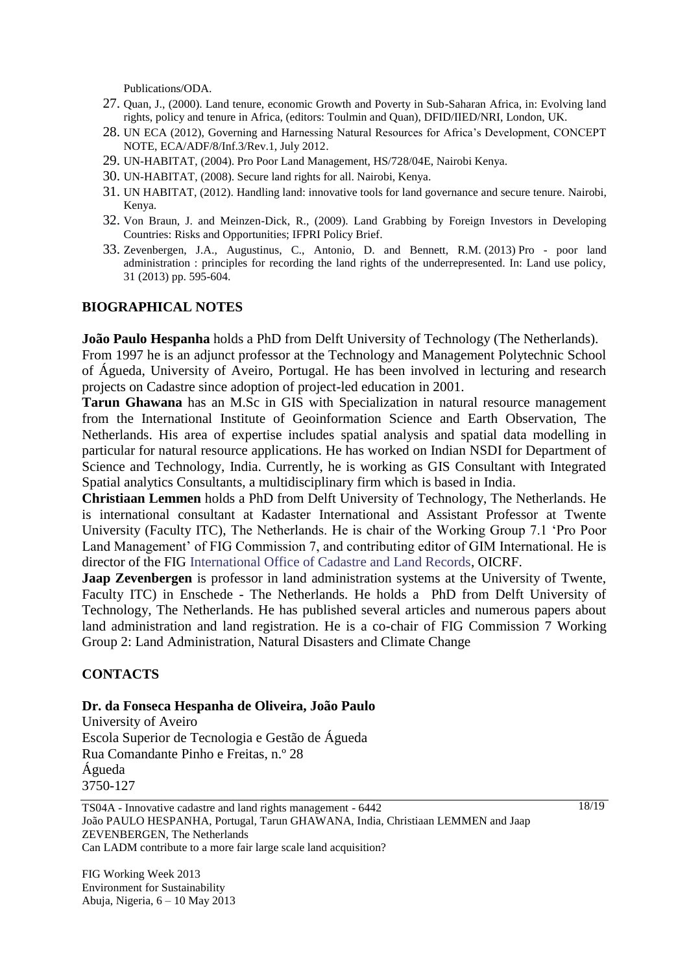Publications/ODA.

- 27. Quan, J., (2000). Land tenure, economic Growth and Poverty in Sub-Saharan Africa, in: Evolving land rights, policy and tenure in Africa, (editors: Toulmin and Quan), DFID/IIED/NRI, London, UK.
- 28. UN ECA (2012), Governing and Harnessing Natural Resources for Africa"s Development, CONCEPT NOTE, ECA/ADF/8/Inf.3/Rev.1, July 2012.
- 29. UN-HABITAT, (2004). Pro Poor Land Management, HS/728/04E, Nairobi Kenya.
- 30. UN-HABITAT, (2008). Secure land rights for all. Nairobi, Kenya.
- 31. UN HABITAT, (2012). Handling land: innovative tools for land governance and secure tenure. Nairobi, Kenya.
- 32. Von Braun, J. and Meinzen-Dick, R., (2009). Land Grabbing by Foreign Investors in Developing Countries: Risks and Opportunities; IFPRI Policy Brief.
- 33. Zevenbergen, J.A., Augustinus, C., Antonio, D. and Bennett, R.M. (2013) Pro poor land administration : principles for recording the land rights of the underrepresented. In: Land use policy, 31 (2013) pp. 595-604.

#### **BIOGRAPHICAL NOTES**

**João Paulo Hespanha** holds a PhD from Delft University of Technology (The Netherlands).

From 1997 he is an adjunct professor at the Technology and Management Polytechnic School of Águeda, University of Aveiro, Portugal. He has been involved in lecturing and research projects on Cadastre since adoption of project-led education in 2001.

**Tarun Ghawana** has an M.Sc in GIS with Specialization in natural resource management from the International Institute of Geoinformation Science and Earth Observation, The Netherlands. His area of expertise includes spatial analysis and spatial data modelling in particular for natural resource applications. He has worked on Indian NSDI for Department of Science and Technology, India. Currently, he is working as GIS Consultant with Integrated Spatial analytics Consultants, a multidisciplinary firm which is based in India.

**Christiaan Lemmen** holds a PhD from Delft University of Technology, The Netherlands. He is international consultant at Kadaster International and Assistant Professor at Twente University (Faculty ITC), The Netherlands. He is chair of the Working Group 7.1 "Pro Poor Land Management' of FIG Commission 7, and contributing editor of GIM International. He is director of the FIG International Office of Cadastre and Land Records, OICRF.

**Jaap Zevenbergen** is professor in land administration systems at the University of Twente, Faculty ITC) in Enschede - The Netherlands. He holds a PhD from Delft University of Technology, The Netherlands. He has published several articles and numerous papers about land administration and land registration. He is a co-chair of FIG Commission 7 Working Group 2: Land Administration, Natural Disasters and Climate Change

#### **CONTACTS**

#### **Dr. da Fonseca Hespanha de Oliveira, João Paulo**

University of Aveiro Escola Superior de Tecnologia e Gestão de Águeda Rua Comandante Pinho e Freitas, n.º 28 Águeda 3750-127

TS04A - Innovative cadastre and land rights management - 6442 João PAULO HESPANHA, Portugal, Tarun GHAWANA, India, Christiaan LEMMEN and Jaap ZEVENBERGEN, The Netherlands Can LADM contribute to a more fair large scale land acquisition?